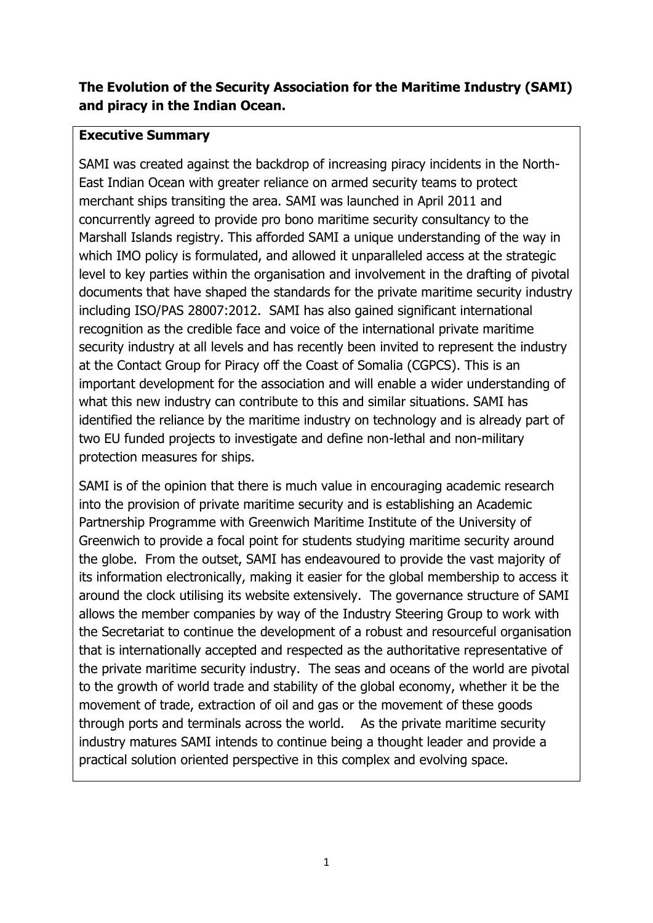## **The Evolution of the Security Association for the Maritime Industry (SAMI) and piracy in the Indian Ocean.**

#### **Executive Summary**

SAMI was created against the backdrop of increasing piracy incidents in the North-East Indian Ocean with greater reliance on armed security teams to protect merchant ships transiting the area. SAMI was launched in April 2011 and concurrently agreed to provide pro bono maritime security consultancy to the Marshall Islands registry. This afforded SAMI a unique understanding of the way in which IMO policy is formulated, and allowed it unparalleled access at the strategic level to key parties within the organisation and involvement in the drafting of pivotal documents that have shaped the standards for the private maritime security industry including ISO/PAS 28007:2012. SAMI has also gained significant international recognition as the credible face and voice of the international private maritime security industry at all levels and has recently been invited to represent the industry at the Contact Group for Piracy off the Coast of Somalia (CGPCS). This is an important development for the association and will enable a wider understanding of what this new industry can contribute to this and similar situations. SAMI has identified the reliance by the maritime industry on technology and is already part of two EU funded projects to investigate and define non-lethal and non-military protection measures for ships.

SAMI is of the opinion that there is much value in encouraging academic research into the provision of private maritime security and is establishing an Academic Partnership Programme with Greenwich Maritime Institute of the University of Greenwich to provide a focal point for students studying maritime security around the globe. From the outset, SAMI has endeavoured to provide the vast majority of its information electronically, making it easier for the global membership to access it around the clock utilising its website extensively. The governance structure of SAMI allows the member companies by way of the Industry Steering Group to work with the Secretariat to continue the development of a robust and resourceful organisation that is internationally accepted and respected as the authoritative representative of the private maritime security industry. The seas and oceans of the world are pivotal to the growth of world trade and stability of the global economy, whether it be the movement of trade, extraction of oil and gas or the movement of these goods through ports and terminals across the world. As the private maritime security industry matures SAMI intends to continue being a thought leader and provide a practical solution oriented perspective in this complex and evolving space.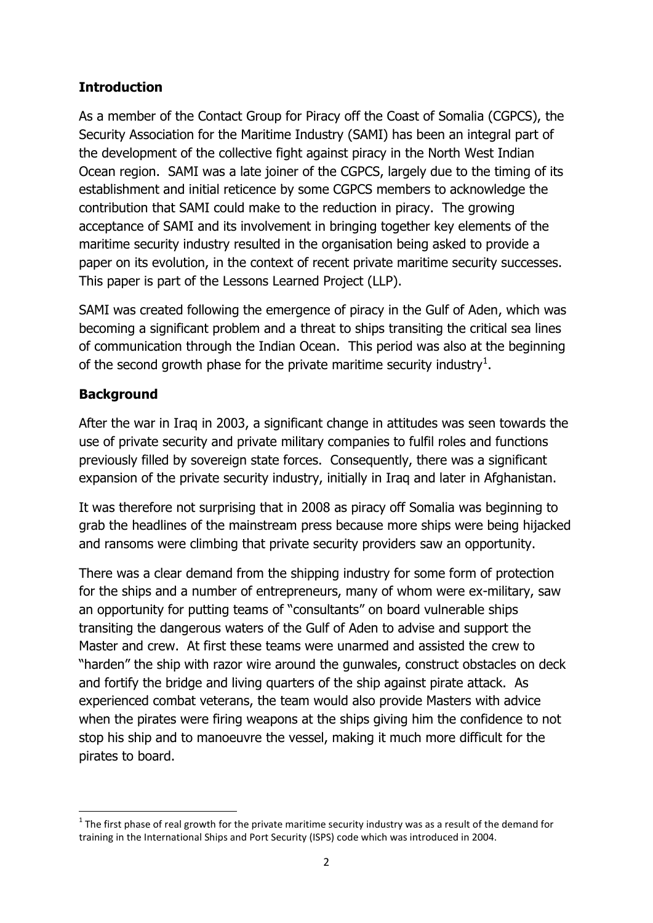# **Introduction**

As a member of the Contact Group for Piracy off the Coast of Somalia (CGPCS), the Security Association for the Maritime Industry (SAMI) has been an integral part of the development of the collective fight against piracy in the North West Indian Ocean region. SAMI was a late joiner of the CGPCS, largely due to the timing of its establishment and initial reticence by some CGPCS members to acknowledge the contribution that SAMI could make to the reduction in piracy. The growing acceptance of SAMI and its involvement in bringing together key elements of the maritime security industry resulted in the organisation being asked to provide a paper on its evolution, in the context of recent private maritime security successes. This paper is part of the Lessons Learned Project (LLP).

SAMI was created following the emergence of piracy in the Gulf of Aden, which was becoming a significant problem and a threat to ships transiting the critical sea lines of communication through the Indian Ocean. This period was also at the beginning of the second growth phase for the private maritime security industry<sup>1</sup>.

# **Background**

After the war in Iraq in 2003, a significant change in attitudes was seen towards the use of private security and private military companies to fulfil roles and functions previously filled by sovereign state forces. Consequently, there was a significant expansion of the private security industry, initially in Iraq and later in Afghanistan.

It was therefore not surprising that in 2008 as piracy off Somalia was beginning to grab the headlines of the mainstream press because more ships were being hijacked and ransoms were climbing that private security providers saw an opportunity.

There was a clear demand from the shipping industry for some form of protection for the ships and a number of entrepreneurs, many of whom were ex-military, saw an opportunity for putting teams of "consultants" on board vulnerable ships transiting the dangerous waters of the Gulf of Aden to advise and support the Master and crew. At first these teams were unarmed and assisted the crew to "harden" the ship with razor wire around the gunwales, construct obstacles on deck and fortify the bridge and living quarters of the ship against pirate attack. As experienced combat veterans, the team would also provide Masters with advice when the pirates were firing weapons at the ships giving him the confidence to not stop his ship and to manoeuvre the vessel, making it much more difficult for the pirates to board.

**<sup>.</sup>**  $1$  The first phase of real growth for the private maritime security industry was as a result of the demand for training in the International Ships and Port Security (ISPS) code which was introduced in 2004.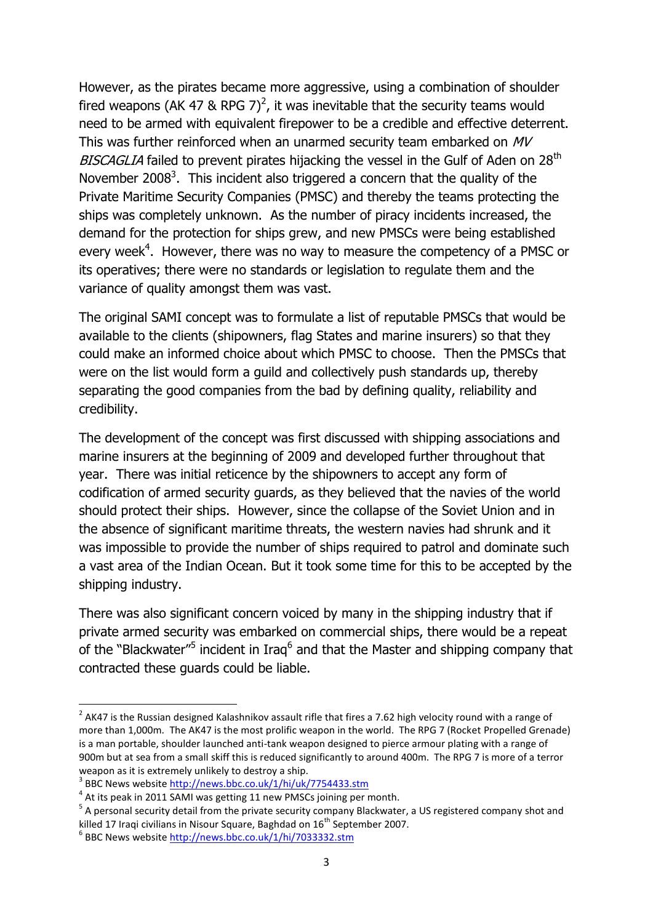However, as the pirates became more aggressive, using a combination of shoulder fired weapons (AK 47 & RPG 7)<sup>2</sup>, it was inevitable that the security teams would need to be armed with equivalent firepower to be a credible and effective deterrent. This was further reinforced when an unarmed security team embarked on MV BISCAGLIA failed to prevent pirates hijacking the vessel in the Gulf of Aden on 28<sup>th</sup> November 2008<sup>3</sup>. This incident also triggered a concern that the quality of the Private Maritime Security Companies (PMSC) and thereby the teams protecting the ships was completely unknown. As the number of piracy incidents increased, the demand for the protection for ships grew, and new PMSCs were being established every week<sup>4</sup>. However, there was no way to measure the competency of a PMSC or its operatives; there were no standards or legislation to regulate them and the variance of quality amongst them was vast.

The original SAMI concept was to formulate a list of reputable PMSCs that would be available to the clients (shipowners, flag States and marine insurers) so that they could make an informed choice about which PMSC to choose. Then the PMSCs that were on the list would form a guild and collectively push standards up, thereby separating the good companies from the bad by defining quality, reliability and credibility.

The development of the concept was first discussed with shipping associations and marine insurers at the beginning of 2009 and developed further throughout that year. There was initial reticence by the shipowners to accept any form of codification of armed security guards, as they believed that the navies of the world should protect their ships. However, since the collapse of the Soviet Union and in the absence of significant maritime threats, the western navies had shrunk and it was impossible to provide the number of ships required to patrol and dominate such a vast area of the Indian Ocean. But it took some time for this to be accepted by the shipping industry.

There was also significant concern voiced by many in the shipping industry that if private armed security was embarked on commercial ships, there would be a repeat of the "Blackwater"<sup>5</sup> incident in Iraq<sup>6</sup> and that the Master and shipping company that contracted these guards could be liable.

 2 AK47 is the Russian designed Kalashnikov assault rifle that fires a 7.62 high velocity round with a range of more than 1,000m. The AK47 is the most prolific weapon in the world. The RPG 7 (Rocket Propelled Grenade) is a man portable, shoulder launched anti-tank weapon designed to pierce armour plating with a range of 900m but at sea from a small skiff this is reduced significantly to around 400m. The RPG 7 is more of a terror weapon as it is extremely unlikely to destroy a ship.

<sup>&</sup>lt;sup>3</sup> BBC News website<http://news.bbc.co.uk/1/hi/uk/7754433.stm>

 $<sup>4</sup>$  At its peak in 2011 SAMI was getting 11 new PMSCs joining per month.</sup>

<sup>&</sup>lt;sup>5</sup> A personal security detail from the private security company Blackwater, a US registered company shot and killed 17 Iraqi civilians in Nisour Square, Baghdad on 16<sup>th</sup> September 2007.

<sup>&</sup>lt;sup>6</sup> BBC News website <u>http://news.bbc.co.uk/1/hi/7033332.stm</u>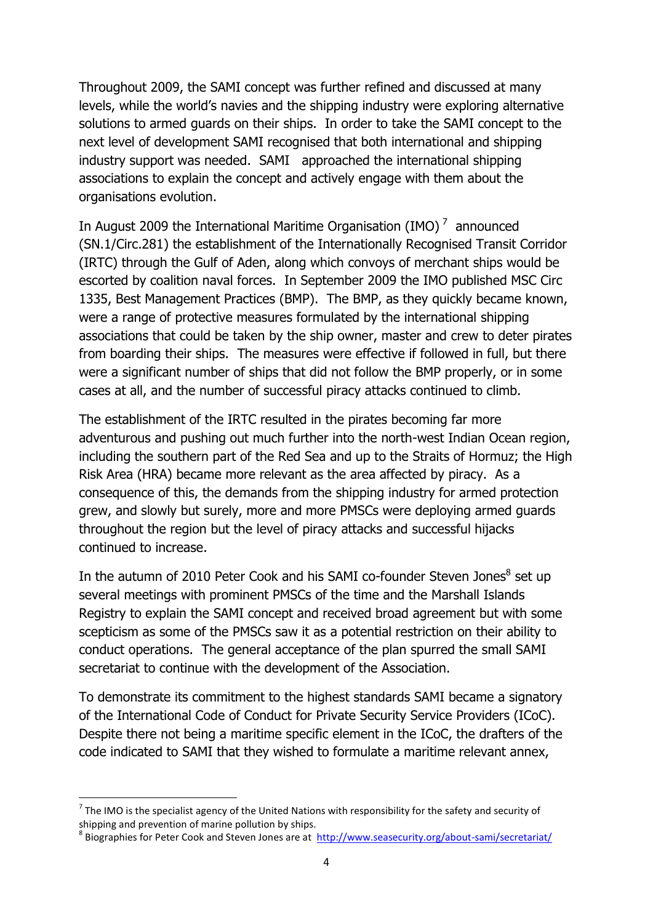Throughout 2009, the SAMI concept was further refined and discussed at many levels, while the world's navies and the shipping industry were exploring alternative solutions to armed guards on their ships. In order to take the SAMI concept to the next level of development SAMI recognised that both international and shipping industry support was needed. SAMI approached the international shipping associations to explain the concept and actively engage with them about the organisations evolution.

In August 2009 the International Maritime Organisation (IMO) $<sup>7</sup>$  announced</sup> (SN.1/Circ.281) the establishment of the Internationally Recognised Transit Corridor (IRTC) through the Gulf of Aden, along which convoys of merchant ships would be escorted by coalition naval forces. In September 2009 the IMO published MSC Circ 1335, Best Management Practices (BMP). The BMP, as they quickly became known, were a range of protective measures formulated by the international shipping associations that could be taken by the ship owner, master and crew to deter pirates from boarding their ships. The measures were effective if followed in full, but there were a significant number of ships that did not follow the BMP properly, or in some cases at all, and the number of successful piracy attacks continued to climb.

The establishment of the IRTC resulted in the pirates becoming far more adventurous and pushing out much further into the north-west Indian Ocean region, including the southern part of the Red Sea and up to the Straits of Hormuz; the High Risk Area (HRA) became more relevant as the area affected by piracy. As a consequence of this, the demands from the shipping industry for armed protection grew, and slowly but surely, more and more PMSCs were deploying armed guards throughout the region but the level of piracy attacks and successful hijacks continued to increase.

In the autumn of 2010 Peter Cook and his SAMI co-founder Steven Jones<sup>8</sup> set up several meetings with prominent PMSCs of the time and the Marshall Islands Registry to explain the SAMI concept and received broad agreement but with some scepticism as some of the PMSCs saw it as a potential restriction on their ability to conduct operations. The general acceptance of the plan spurred the small SAMI secretariat to continue with the development of the Association.

To demonstrate its commitment to the highest standards SAMI became a signatory of the International Code of Conduct for Private Security Service Providers (ICoC). Despite there not being a maritime specific element in the ICoC, the drafters of the code indicated to SAMI that they wished to formulate a maritime relevant annex,

**.** 

<sup>8</sup> Biographies for Peter Cook and Steven Jones are at <http://www.seasecurity.org/about-sami/secretariat/>

 $^7$  The IMO is the specialist agency of the United Nations with responsibility for the safety and security of shipping and prevention of marine pollution by ships.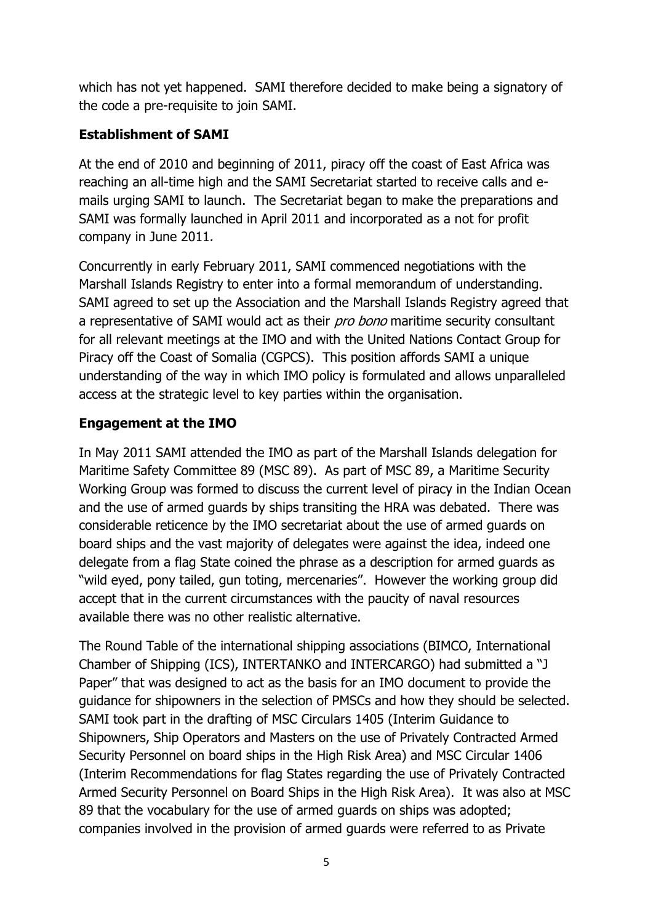which has not yet happened. SAMI therefore decided to make being a signatory of the code a pre-requisite to join SAMI.

## **Establishment of SAMI**

At the end of 2010 and beginning of 2011, piracy off the coast of East Africa was reaching an all-time high and the SAMI Secretariat started to receive calls and emails urging SAMI to launch. The Secretariat began to make the preparations and SAMI was formally launched in April 2011 and incorporated as a not for profit company in June 2011.

Concurrently in early February 2011, SAMI commenced negotiations with the Marshall Islands Registry to enter into a formal memorandum of understanding. SAMI agreed to set up the Association and the Marshall Islands Registry agreed that a representative of SAMI would act as their *pro bono* maritime security consultant for all relevant meetings at the IMO and with the United Nations Contact Group for Piracy off the Coast of Somalia (CGPCS). This position affords SAMI a unique understanding of the way in which IMO policy is formulated and allows unparalleled access at the strategic level to key parties within the organisation.

## **Engagement at the IMO**

In May 2011 SAMI attended the IMO as part of the Marshall Islands delegation for Maritime Safety Committee 89 (MSC 89). As part of MSC 89, a Maritime Security Working Group was formed to discuss the current level of piracy in the Indian Ocean and the use of armed guards by ships transiting the HRA was debated. There was considerable reticence by the IMO secretariat about the use of armed guards on board ships and the vast majority of delegates were against the idea, indeed one delegate from a flag State coined the phrase as a description for armed guards as "wild eyed, pony tailed, gun toting, mercenaries". However the working group did accept that in the current circumstances with the paucity of naval resources available there was no other realistic alternative.

The Round Table of the international shipping associations (BIMCO, International Chamber of Shipping (ICS), INTERTANKO and INTERCARGO) had submitted a "J Paper" that was designed to act as the basis for an IMO document to provide the guidance for shipowners in the selection of PMSCs and how they should be selected. SAMI took part in the drafting of MSC Circulars 1405 (Interim Guidance to Shipowners, Ship Operators and Masters on the use of Privately Contracted Armed Security Personnel on board ships in the High Risk Area) and MSC Circular 1406 (Interim Recommendations for flag States regarding the use of Privately Contracted Armed Security Personnel on Board Ships in the High Risk Area). It was also at MSC 89 that the vocabulary for the use of armed guards on ships was adopted; companies involved in the provision of armed guards were referred to as Private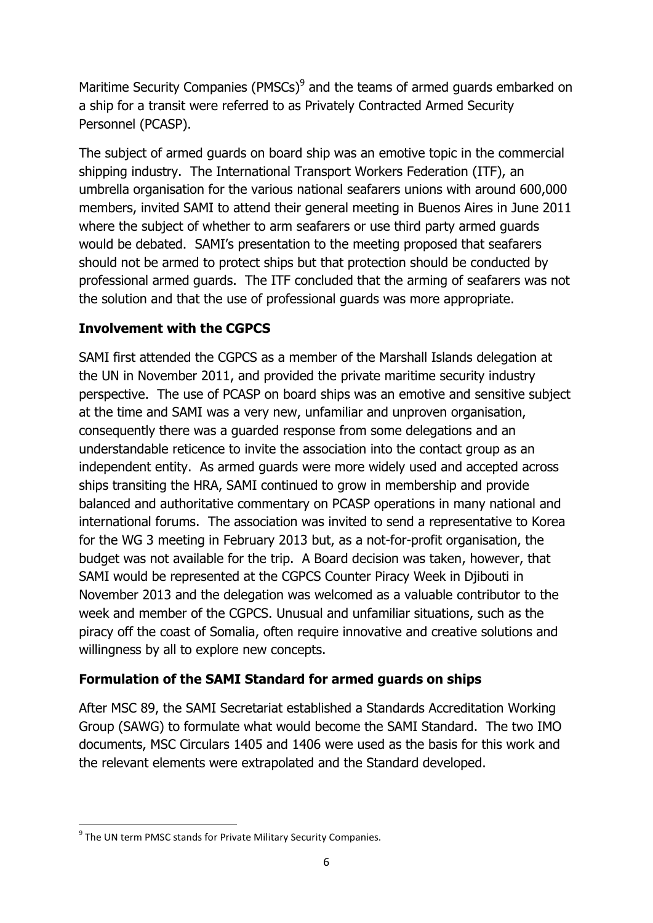Maritime Security Companies (PMSCs) $9$  and the teams of armed guards embarked on a ship for a transit were referred to as Privately Contracted Armed Security Personnel (PCASP).

The subject of armed guards on board ship was an emotive topic in the commercial shipping industry. The International Transport Workers Federation (ITF), an umbrella organisation for the various national seafarers unions with around 600,000 members, invited SAMI to attend their general meeting in Buenos Aires in June 2011 where the subject of whether to arm seafarers or use third party armed guards would be debated. SAMI's presentation to the meeting proposed that seafarers should not be armed to protect ships but that protection should be conducted by professional armed guards. The ITF concluded that the arming of seafarers was not the solution and that the use of professional guards was more appropriate.

## **Involvement with the CGPCS**

SAMI first attended the CGPCS as a member of the Marshall Islands delegation at the UN in November 2011, and provided the private maritime security industry perspective. The use of PCASP on board ships was an emotive and sensitive subject at the time and SAMI was a very new, unfamiliar and unproven organisation, consequently there was a guarded response from some delegations and an understandable reticence to invite the association into the contact group as an independent entity. As armed guards were more widely used and accepted across ships transiting the HRA, SAMI continued to grow in membership and provide balanced and authoritative commentary on PCASP operations in many national and international forums. The association was invited to send a representative to Korea for the WG 3 meeting in February 2013 but, as a not-for-profit organisation, the budget was not available for the trip. A Board decision was taken, however, that SAMI would be represented at the CGPCS Counter Piracy Week in Djibouti in November 2013 and the delegation was welcomed as a valuable contributor to the week and member of the CGPCS. Unusual and unfamiliar situations, such as the piracy off the coast of Somalia, often require innovative and creative solutions and willingness by all to explore new concepts.

### **Formulation of the SAMI Standard for armed guards on ships**

After MSC 89, the SAMI Secretariat established a Standards Accreditation Working Group (SAWG) to formulate what would become the SAMI Standard. The two IMO documents, MSC Circulars 1405 and 1406 were used as the basis for this work and the relevant elements were extrapolated and the Standard developed.

**<sup>.</sup>** <sup>9</sup> The UN term PMSC stands for Private Military Security Companies.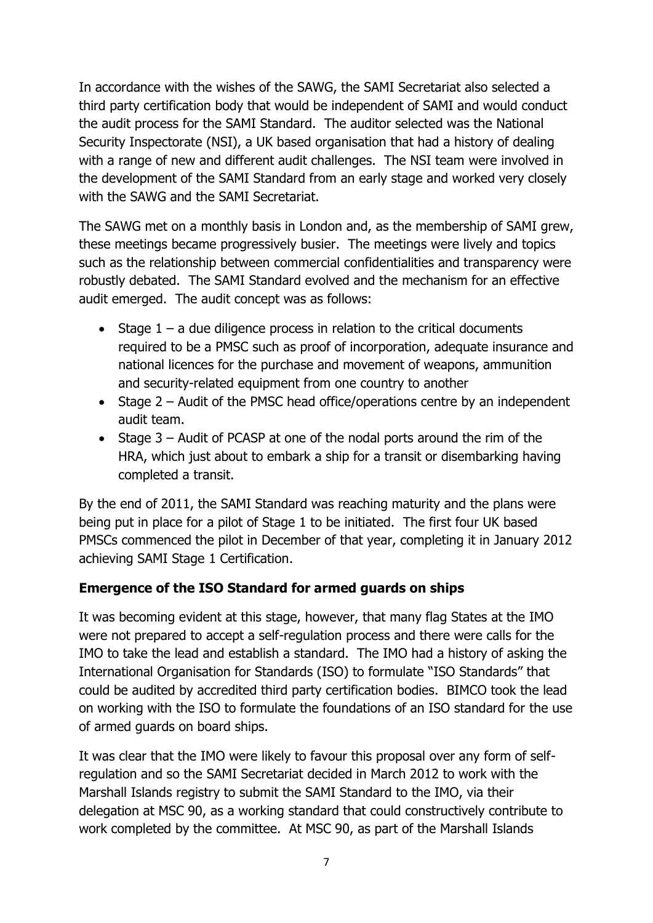In accordance with the wishes of the SAWG, the SAMI Secretariat also selected a third party certification body that would be independent of SAMI and would conduct the audit process for the SAMI Standard. The auditor selected was the National Security Inspectorate (NSI), a UK based organisation that had a history of dealing with a range of new and different audit challenges. The NSI team were involved in the development of the SAMI Standard from an early stage and worked very closely with the SAWG and the SAMI Secretariat.

The SAWG met on a monthly basis in London and, as the membership of SAMI grew, these meetings became progressively busier. The meetings were lively and topics such as the relationship between commercial confidentialities and transparency were robustly debated. The SAMI Standard evolved and the mechanism for an effective audit emerged. The audit concept was as follows:

- Stage  $1 a$  due diligence process in relation to the critical documents required to be a PMSC such as proof of incorporation, adequate insurance and national licences for the purchase and movement of weapons, ammunition and security-related equipment from one country to another
- Stage  $2$  Audit of the PMSC head office/operations centre by an independent audit team.
- Stage 3 Audit of PCASP at one of the nodal ports around the rim of the HRA, which just about to embark a ship for a transit or disembarking having completed a transit.

By the end of 2011, the SAMI Standard was reaching maturity and the plans were being put in place for a pilot of Stage 1 to be initiated. The first four UK based PMSCs commenced the pilot in December of that year, completing it in January 2012 achieving SAMI Stage 1 Certification.

### **Emergence of the ISO Standard for armed guards on ships**

It was becoming evident at this stage, however, that many flag States at the IMO were not prepared to accept a self-regulation process and there were calls for the IMO to take the lead and establish a standard. The IMO had a history of asking the International Organisation for Standards (ISO) to formulate "ISO Standards" that could be audited by accredited third party certification bodies. BIMCO took the lead on working with the ISO to formulate the foundations of an ISO standard for the use of armed guards on board ships.

It was clear that the IMO were likely to favour this proposal over any form of selfregulation and so the SAMI Secretariat decided in March 2012 to work with the Marshall Islands registry to submit the SAMI Standard to the IMO, via their delegation at MSC 90, as a working standard that could constructively contribute to work completed by the committee. At MSC 90, as part of the Marshall Islands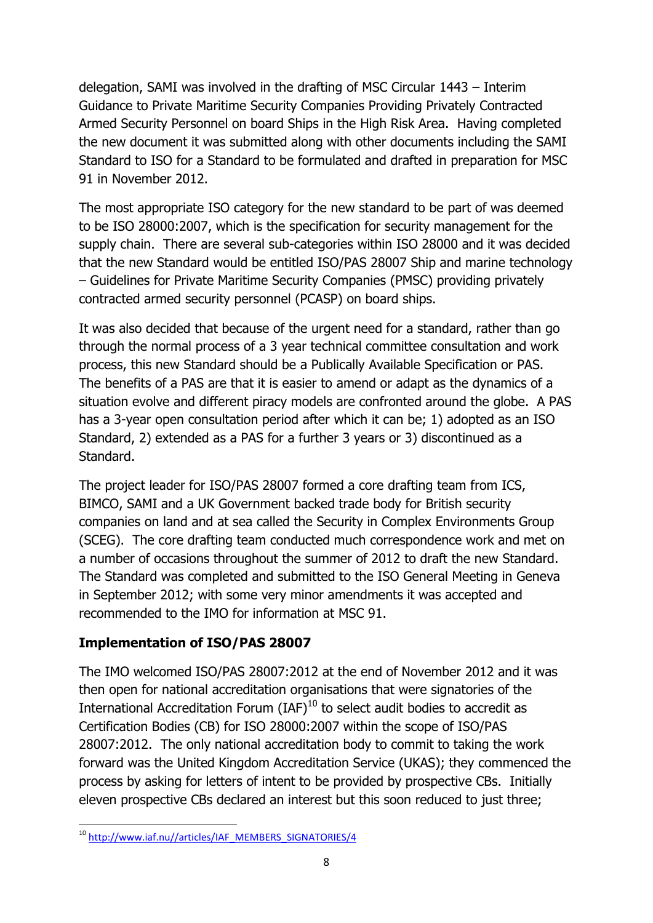delegation, SAMI was involved in the drafting of MSC Circular 1443 – Interim Guidance to Private Maritime Security Companies Providing Privately Contracted Armed Security Personnel on board Ships in the High Risk Area. Having completed the new document it was submitted along with other documents including the SAMI Standard to ISO for a Standard to be formulated and drafted in preparation for MSC 91 in November 2012.

The most appropriate ISO category for the new standard to be part of was deemed to be ISO 28000:2007, which is the specification for security management for the supply chain. There are several sub-categories within ISO 28000 and it was decided that the new Standard would be entitled ISO/PAS 28007 Ship and marine technology – Guidelines for Private Maritime Security Companies (PMSC) providing privately contracted armed security personnel (PCASP) on board ships.

It was also decided that because of the urgent need for a standard, rather than go through the normal process of a 3 year technical committee consultation and work process, this new Standard should be a Publically Available Specification or PAS. The benefits of a PAS are that it is easier to amend or adapt as the dynamics of a situation evolve and different piracy models are confronted around the globe. A PAS has a 3-year open consultation period after which it can be; 1) adopted as an ISO Standard, 2) extended as a PAS for a further 3 years or 3) discontinued as a Standard.

The project leader for ISO/PAS 28007 formed a core drafting team from ICS, BIMCO, SAMI and a UK Government backed trade body for British security companies on land and at sea called the Security in Complex Environments Group (SCEG). The core drafting team conducted much correspondence work and met on a number of occasions throughout the summer of 2012 to draft the new Standard. The Standard was completed and submitted to the ISO General Meeting in Geneva in September 2012; with some very minor amendments it was accepted and recommended to the IMO for information at MSC 91.

# **Implementation of ISO/PAS 28007**

The IMO welcomed ISO/PAS 28007:2012 at the end of November 2012 and it was then open for national accreditation organisations that were signatories of the International Accreditation Forum  $(IAF)^{10}$  to select audit bodies to accredit as Certification Bodies (CB) for ISO 28000:2007 within the scope of ISO/PAS 28007:2012. The only national accreditation body to commit to taking the work forward was the United Kingdom Accreditation Service (UKAS); they commenced the process by asking for letters of intent to be provided by prospective CBs. Initially eleven prospective CBs declared an interest but this soon reduced to just three;

**<sup>.</sup>** <sup>10</sup> [http://www.iaf.nu//articles/IAF\\_MEMBERS\\_SIGNATORIES/4](http://www.iaf.nu/articles/IAF_MEMBERS_SIGNATORIES/4)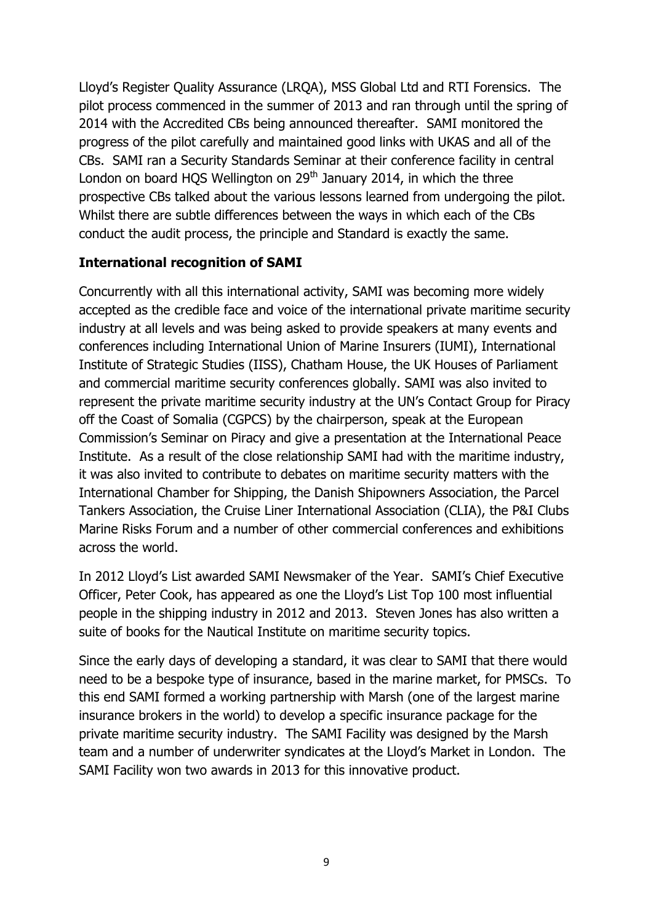Lloyd's Register Quality Assurance (LRQA), MSS Global Ltd and RTI Forensics. The pilot process commenced in the summer of 2013 and ran through until the spring of 2014 with the Accredited CBs being announced thereafter. SAMI monitored the progress of the pilot carefully and maintained good links with UKAS and all of the CBs. SAMI ran a Security Standards Seminar at their conference facility in central London on board HOS Wellington on  $29<sup>th</sup>$  January 2014, in which the three prospective CBs talked about the various lessons learned from undergoing the pilot. Whilst there are subtle differences between the ways in which each of the CBs conduct the audit process, the principle and Standard is exactly the same.

#### **International recognition of SAMI**

Concurrently with all this international activity, SAMI was becoming more widely accepted as the credible face and voice of the international private maritime security industry at all levels and was being asked to provide speakers at many events and conferences including International Union of Marine Insurers (IUMI), International Institute of Strategic Studies (IISS), Chatham House, the UK Houses of Parliament and commercial maritime security conferences globally. SAMI was also invited to represent the private maritime security industry at the UN's Contact Group for Piracy off the Coast of Somalia (CGPCS) by the chairperson, speak at the European Commission's Seminar on Piracy and give a presentation at the International Peace Institute. As a result of the close relationship SAMI had with the maritime industry, it was also invited to contribute to debates on maritime security matters with the International Chamber for Shipping, the Danish Shipowners Association, the Parcel Tankers Association, the Cruise Liner International Association (CLIA), the P&I Clubs Marine Risks Forum and a number of other commercial conferences and exhibitions across the world.

In 2012 Lloyd's List awarded SAMI Newsmaker of the Year. SAMI's Chief Executive Officer, Peter Cook, has appeared as one the Lloyd's List Top 100 most influential people in the shipping industry in 2012 and 2013. Steven Jones has also written a suite of books for the Nautical Institute on maritime security topics.

Since the early days of developing a standard, it was clear to SAMI that there would need to be a bespoke type of insurance, based in the marine market, for PMSCs. To this end SAMI formed a working partnership with Marsh (one of the largest marine insurance brokers in the world) to develop a specific insurance package for the private maritime security industry. The SAMI Facility was designed by the Marsh team and a number of underwriter syndicates at the Lloyd's Market in London. The SAMI Facility won two awards in 2013 for this innovative product.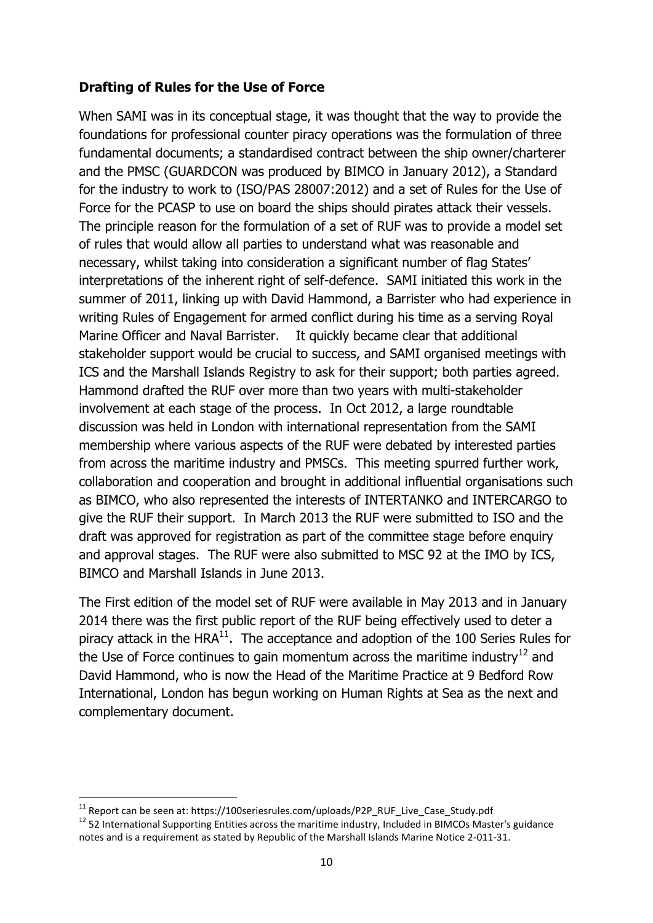#### **Drafting of Rules for the Use of Force**

When SAMI was in its conceptual stage, it was thought that the way to provide the foundations for professional counter piracy operations was the formulation of three fundamental documents; a standardised contract between the ship owner/charterer and the PMSC (GUARDCON was produced by BIMCO in January 2012), a Standard for the industry to work to (ISO/PAS 28007:2012) and a set of Rules for the Use of Force for the PCASP to use on board the ships should pirates attack their vessels. The principle reason for the formulation of a set of RUF was to provide a model set of rules that would allow all parties to understand what was reasonable and necessary, whilst taking into consideration a significant number of flag States' interpretations of the inherent right of self-defence. SAMI initiated this work in the summer of 2011, linking up with David Hammond, a Barrister who had experience in writing Rules of Engagement for armed conflict during his time as a serving Royal Marine Officer and Naval Barrister. It quickly became clear that additional stakeholder support would be crucial to success, and SAMI organised meetings with ICS and the Marshall Islands Registry to ask for their support; both parties agreed. Hammond drafted the RUF over more than two years with multi-stakeholder involvement at each stage of the process. In Oct 2012, a large roundtable discussion was held in London with international representation from the SAMI membership where various aspects of the RUF were debated by interested parties from across the maritime industry and PMSCs. This meeting spurred further work, collaboration and cooperation and brought in additional influential organisations such as BIMCO, who also represented the interests of INTERTANKO and INTERCARGO to give the RUF their support. In March 2013 the RUF were submitted to ISO and the draft was approved for registration as part of the committee stage before enquiry and approval stages. The RUF were also submitted to MSC 92 at the IMO by ICS, BIMCO and Marshall Islands in June 2013.

The First edition of the model set of RUF were available in May 2013 and in January 2014 there was the first public report of the RUF being effectively used to deter a piracy attack in the  $HRA^{11}$ . The acceptance and adoption of the 100 Series Rules for the Use of Force continues to gain momentum across the maritime industry<sup>12</sup> and David Hammond, who is now the Head of the Maritime Practice at 9 Bedford Row International, London has begun working on Human Rights at Sea as the next and complementary document.

**.** 

 $^{11}$  Report can be seen at: https://100seriesrules.com/uploads/P2P\_RUF\_Live\_Case\_Study.pdf

 $12$  52 International Supporting Entities across the maritime industry, Included in BIMCOs Master's guidance notes and is a requirement as stated by Republic of the Marshall Islands Marine Notice 2-011-31.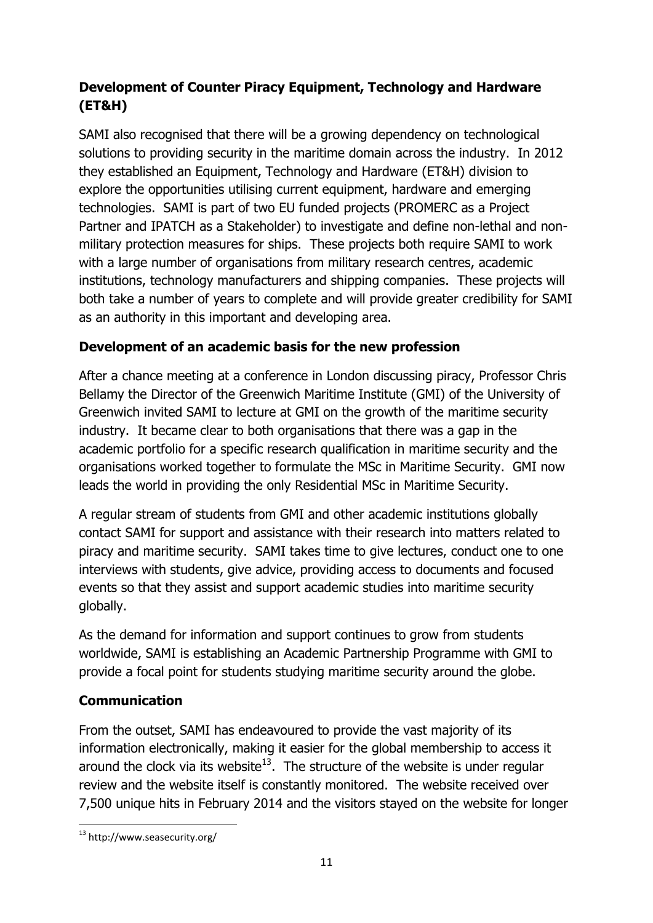# **Development of Counter Piracy Equipment, Technology and Hardware (ET&H)**

SAMI also recognised that there will be a growing dependency on technological solutions to providing security in the maritime domain across the industry. In 2012 they established an Equipment, Technology and Hardware (ET&H) division to explore the opportunities utilising current equipment, hardware and emerging technologies. SAMI is part of two EU funded projects (PROMERC as a Project Partner and IPATCH as a Stakeholder) to investigate and define non-lethal and nonmilitary protection measures for ships. These projects both require SAMI to work with a large number of organisations from military research centres, academic institutions, technology manufacturers and shipping companies. These projects will both take a number of years to complete and will provide greater credibility for SAMI as an authority in this important and developing area.

## **Development of an academic basis for the new profession**

After a chance meeting at a conference in London discussing piracy, Professor Chris Bellamy the Director of the Greenwich Maritime Institute (GMI) of the University of Greenwich invited SAMI to lecture at GMI on the growth of the maritime security industry. It became clear to both organisations that there was a gap in the academic portfolio for a specific research qualification in maritime security and the organisations worked together to formulate the MSc in Maritime Security. GMI now leads the world in providing the only Residential MSc in Maritime Security.

A regular stream of students from GMI and other academic institutions globally contact SAMI for support and assistance with their research into matters related to piracy and maritime security. SAMI takes time to give lectures, conduct one to one interviews with students, give advice, providing access to documents and focused events so that they assist and support academic studies into maritime security globally.

As the demand for information and support continues to grow from students worldwide, SAMI is establishing an Academic Partnership Programme with GMI to provide a focal point for students studying maritime security around the globe.

# **Communication**

From the outset, SAMI has endeavoured to provide the vast majority of its information electronically, making it easier for the global membership to access it around the clock via its website<sup>13</sup>. The structure of the website is under regular review and the website itself is constantly monitored. The website received over 7,500 unique hits in February 2014 and the visitors stayed on the website for longer

**<sup>.</sup>** <sup>13</sup> http://www.seasecurity.org/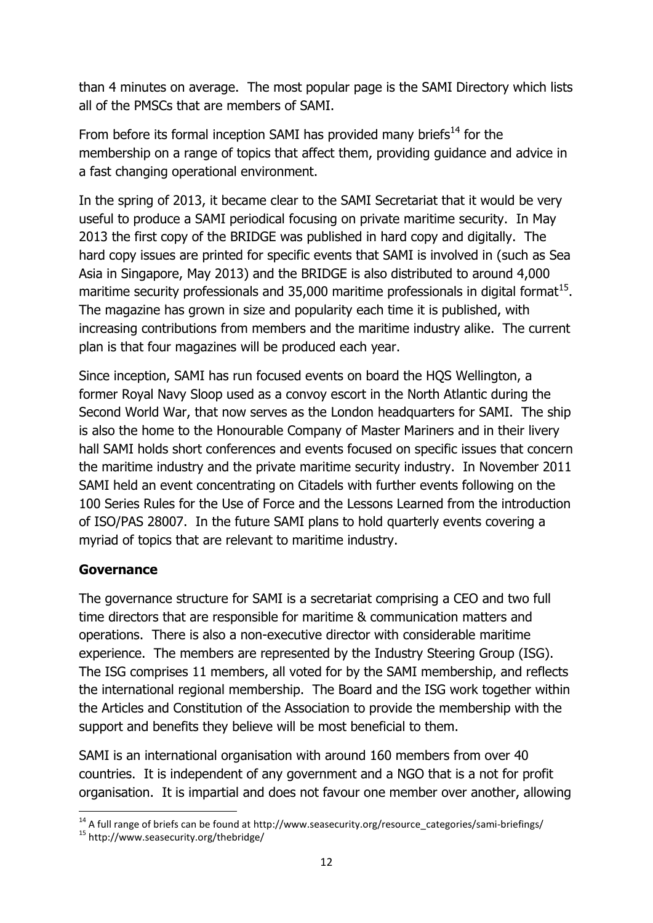than 4 minutes on average. The most popular page is the SAMI Directory which lists all of the PMSCs that are members of SAMI.

From before its formal inception SAMI has provided many briefs $^{14}$  for the membership on a range of topics that affect them, providing guidance and advice in a fast changing operational environment.

In the spring of 2013, it became clear to the SAMI Secretariat that it would be very useful to produce a SAMI periodical focusing on private maritime security. In May 2013 the first copy of the BRIDGE was published in hard copy and digitally. The hard copy issues are printed for specific events that SAMI is involved in (such as Sea Asia in Singapore, May 2013) and the BRIDGE is also distributed to around 4,000 maritime security professionals and 35,000 maritime professionals in digital format $^{15}$ . The magazine has grown in size and popularity each time it is published, with increasing contributions from members and the maritime industry alike. The current plan is that four magazines will be produced each year.

Since inception, SAMI has run focused events on board the HQS Wellington, a former Royal Navy Sloop used as a convoy escort in the North Atlantic during the Second World War, that now serves as the London headquarters for SAMI. The ship is also the home to the Honourable Company of Master Mariners and in their livery hall SAMI holds short conferences and events focused on specific issues that concern the maritime industry and the private maritime security industry. In November 2011 SAMI held an event concentrating on Citadels with further events following on the 100 Series Rules for the Use of Force and the Lessons Learned from the introduction of ISO/PAS 28007. In the future SAMI plans to hold quarterly events covering a myriad of topics that are relevant to maritime industry.

### **Governance**

The governance structure for SAMI is a secretariat comprising a CEO and two full time directors that are responsible for maritime & communication matters and operations. There is also a non-executive director with considerable maritime experience. The members are represented by the Industry Steering Group (ISG). The ISG comprises 11 members, all voted for by the SAMI membership, and reflects the international regional membership. The Board and the ISG work together within the Articles and Constitution of the Association to provide the membership with the support and benefits they believe will be most beneficial to them.

SAMI is an international organisation with around 160 members from over 40 countries. It is independent of any government and a NGO that is a not for profit organisation. It is impartial and does not favour one member over another, allowing

**<sup>.</sup>** <sup>14</sup> A full range of briefs can be found at http://www.seasecurity.org/resource\_categories/sami-briefings/

<sup>15</sup> http://www.seasecurity.org/thebridge/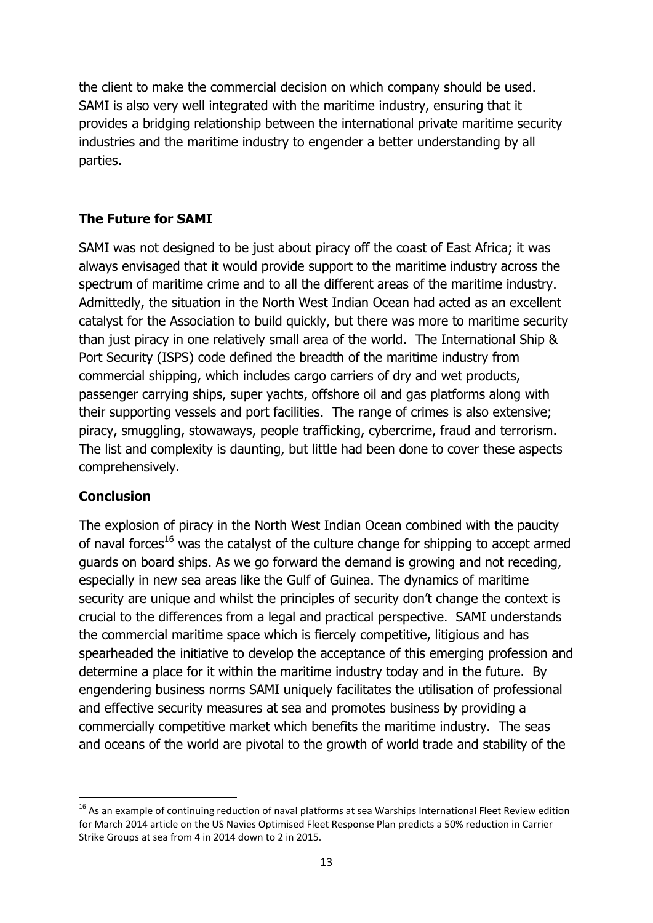the client to make the commercial decision on which company should be used. SAMI is also very well integrated with the maritime industry, ensuring that it provides a bridging relationship between the international private maritime security industries and the maritime industry to engender a better understanding by all parties.

### **The Future for SAMI**

SAMI was not designed to be just about piracy off the coast of East Africa; it was always envisaged that it would provide support to the maritime industry across the spectrum of maritime crime and to all the different areas of the maritime industry. Admittedly, the situation in the North West Indian Ocean had acted as an excellent catalyst for the Association to build quickly, but there was more to maritime security than just piracy in one relatively small area of the world. The International Ship & Port Security (ISPS) code defined the breadth of the maritime industry from commercial shipping, which includes cargo carriers of dry and wet products, passenger carrying ships, super yachts, offshore oil and gas platforms along with their supporting vessels and port facilities. The range of crimes is also extensive; piracy, smuggling, stowaways, people trafficking, cybercrime, fraud and terrorism. The list and complexity is daunting, but little had been done to cover these aspects comprehensively.

### **Conclusion**

**.** 

The explosion of piracy in the North West Indian Ocean combined with the paucity of naval forces<sup>16</sup> was the catalyst of the culture change for shipping to accept armed guards on board ships. As we go forward the demand is growing and not receding, especially in new sea areas like the Gulf of Guinea. The dynamics of maritime security are unique and whilst the principles of security don't change the context is crucial to the differences from a legal and practical perspective. SAMI understands the commercial maritime space which is fiercely competitive, litigious and has spearheaded the initiative to develop the acceptance of this emerging profession and determine a place for it within the maritime industry today and in the future. By engendering business norms SAMI uniquely facilitates the utilisation of professional and effective security measures at sea and promotes business by providing a commercially competitive market which benefits the maritime industry. The seas and oceans of the world are pivotal to the growth of world trade and stability of the

<sup>&</sup>lt;sup>16</sup> As an example of continuing reduction of naval platforms at sea Warships International Fleet Review edition for March 2014 article on the US Navies Optimised Fleet Response Plan predicts a 50% reduction in Carrier Strike Groups at sea from 4 in 2014 down to 2 in 2015.